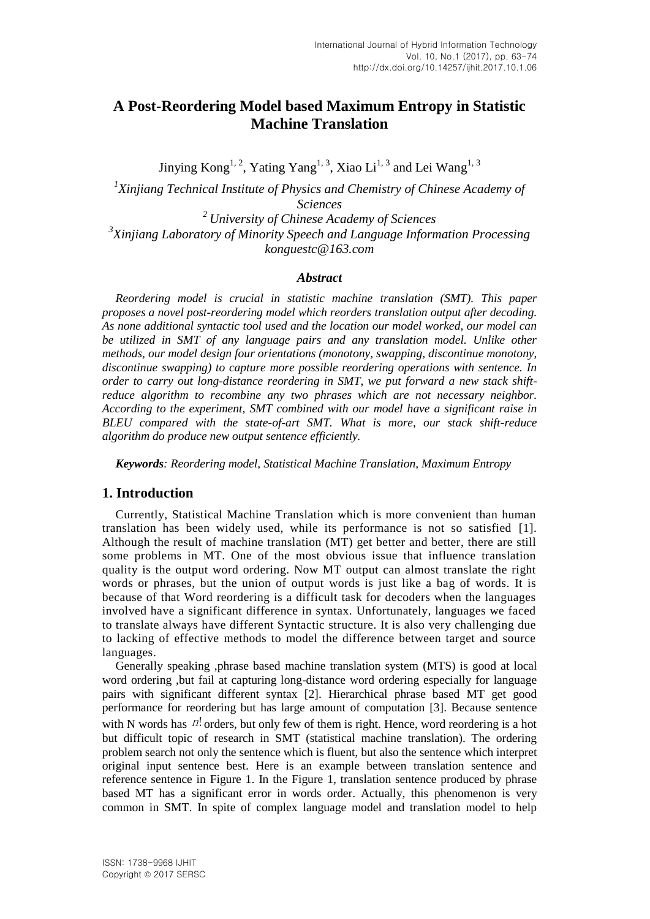# **A Post-Reordering Model based Maximum Entropy in Statistic Machine Translation**

Jinying Kong<sup>1, 2</sup>, Yating Yang<sup>1, 3</sup>, Xiao Li<sup>1, 3</sup> and Lei Wang<sup>1, 3</sup> <sup>1</sup>Xinjiang Technical Institute of Physics and Chemistry of Chinese Academy of *Sciences* 

*<sup>2</sup> University of Chinese Academy of Sciences 3 Xinjiang Laboratory of Minority Speech and Language Information Processing konguestc@163.com*

#### *Abstract*

*Reordering model is crucial in statistic machine translation (SMT). This paper proposes a novel post-reordering model which reorders translation output after decoding. As none additional syntactic tool used and the location our model worked, our model can be utilized in SMT of any language pairs and any translation model. Unlike other methods, our model design four orientations (monotony, swapping, discontinue monotony, discontinue swapping) to capture more possible reordering operations with sentence. In order to carry out long-distance reordering in SMT, we put forward a new stack shiftreduce algorithm to recombine any two phrases which are not necessary neighbor. According to the experiment, SMT combined with our model have a significant raise in BLEU compared with the state-of-art SMT. What is more, our stack shift-reduce algorithm do produce new output sentence efficiently.*

*Keywords: Reordering model, Statistical Machine Translation, Maximum Entropy* 

# **1. Introduction**

Currently, Statistical Machine Translation which is more convenient than human translation has been widely used, while its performance is not so satisfied [1]. Although the result of machine translation (MT) get better and better, there are still some problems in MT. One of the most obvious issue that influence translation quality is the output word ordering. Now MT output can almost translate the right words or phrases, but the union of output words is just like a bag of words. It is because of that Word reordering is a difficult task for decoders when the languages involved have a significant difference in syntax. Unfortunately, languages we faced to translate always have different Syntactic structure. It is also very challenging due to lacking of effective methods to model the difference between target and source languages.

Generally speaking ,phrase based machine translation system (MTS) is good at local word ordering ,but fail at capturing long-distance word ordering especially for language pairs with significant different syntax [2]. Hierarchical phrase based MT get good performance for reordering but has large amount of computation [3]. Because sentence with N words has  $n!$  orders, but only few of them is right. Hence, word reordering is a hot but difficult topic of research in SMT (statistical machine translation). The ordering problem search not only the sentence which is fluent, but also the sentence which interpret original input sentence best. Here is an example between translation sentence and reference sentence in Figure 1. In the Figure 1, translation sentence produced by phrase based MT has a significant error in words order. Actually, this phenomenon is very common in SMT. In spite of complex language model and translation model to help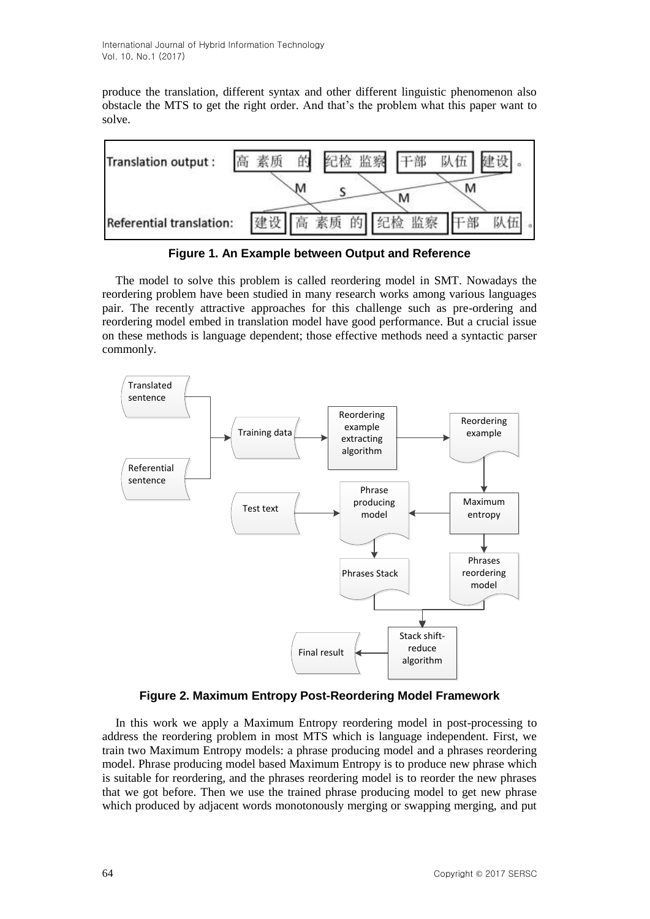produce the translation, different syntax and other different linguistic phenomenon also obstacle the MTS to get the right order. And that's the problem what this paper want to solve.



**Figure 1. An Example between Output and Reference**

The model to solve this problem is called reordering model in SMT. Nowadays the reordering problem have been studied in many research works among various languages pair. The recently attractive approaches for this challenge such as pre-ordering and reordering model embed in translation model have good performance. But a crucial issue on these methods is language dependent; those effective methods need a syntactic parser commonly.



# **Figure 2. Maximum Entropy Post-Reordering Model Framework**

In this work we apply a Maximum Entropy reordering model in post-processing to address the reordering problem in most MTS which is language independent. First, we train two Maximum Entropy models: a phrase producing model and a phrases reordering model. Phrase producing model based Maximum Entropy is to produce new phrase which is suitable for reordering, and the phrases reordering model is to reorder the new phrases that we got before. Then we use the trained phrase producing model to get new phrase which produced by adjacent words monotonously merging or swapping merging, and put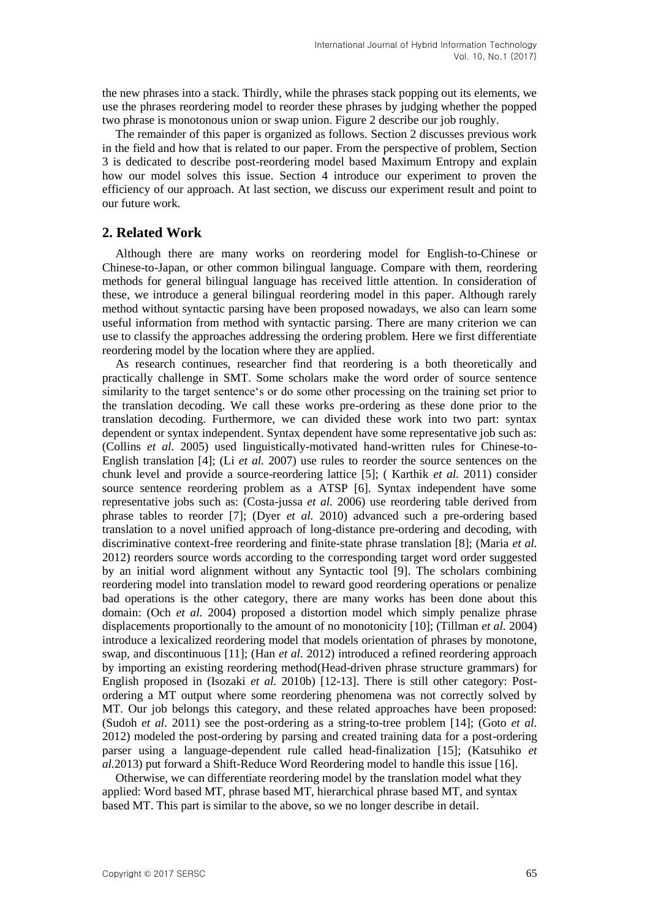the new phrases into a stack. Thirdly, while the phrases stack popping out its elements, we use the phrases reordering model to reorder these phrases by judging whether the popped two phrase is monotonous union or swap union. Figure 2 describe our job roughly.

The remainder of this paper is organized as follows. Section 2 discusses previous work in the field and how that is related to our paper. From the perspective of problem, Section 3 is dedicated to describe post-reordering model based Maximum Entropy and explain how our model solves this issue. Section 4 introduce our experiment to proven the efficiency of our approach. At last section, we discuss our experiment result and point to our future work.

### **2. Related Work**

Although there are many works on reordering model for English-to-Chinese or Chinese-to-Japan, or other common bilingual language. Compare with them, reordering methods for general bilingual language has received little attention. In consideration of these, we introduce a general bilingual reordering model in this paper. Although rarely method without syntactic parsing have been proposed nowadays, we also can learn some useful information from method with syntactic parsing. There are many criterion we can use to classify the approaches addressing the ordering problem. Here we first differentiate reordering model by the location where they are applied.

As research continues, researcher find that reordering is a both theoretically and practically challenge in SMT. Some scholars make the word order of source sentence similarity to the target sentence"s or do some other processing on the training set prior to the translation decoding. We call these works pre-ordering as these done prior to the translation decoding. Furthermore, we can divided these work into two part: syntax dependent or syntax independent. Syntax dependent have some representative job such as: (Collins *et al.* 2005) used linguistically-motivated hand-written rules for Chinese-to-English translation [4]; (Li *et al.* 2007) use rules to reorder the source sentences on the chunk level and provide a source-reordering lattice [5]; ( Karthik *et al.* 2011) consider source sentence reordering problem as a ATSP [6]. Syntax independent have some representative jobs such as: (Costa-jussa *et al.* 2006) use reordering table derived from phrase tables to reorder [7]; (Dyer *et al.* 2010) advanced such a pre-ordering based translation to a novel unified approach of long-distance pre-ordering and decoding, with discriminative context-free reordering and finite-state phrase translation [8]; (Maria *et al.* 2012) reorders source words according to the corresponding target word order suggested by an initial word alignment without any Syntactic tool [9]. The scholars combining reordering model into translation model to reward good reordering operations or penalize bad operations is the other category, there are many works has been done about this domain: (Och *et al.* 2004) proposed a distortion model which simply penalize phrase displacements proportionally to the amount of no monotonicity [10]; (Tillman *et al.* 2004) introduce a lexicalized reordering model that models orientation of phrases by monotone, swap, and discontinuous [11]; (Han *et al.* 2012) introduced a refined reordering approach by importing an existing reordering method(Head-driven phrase structure grammars) for English proposed in (Isozaki *et al.* 2010b) [12-13]. There is still other category: Postordering a MT output where some reordering phenomena was not correctly solved by MT. Our job belongs this category, and these related approaches have been proposed: (Sudoh *et al.* 2011) see the post-ordering as a string-to-tree problem [14]; (Goto *et al.* 2012) modeled the post-ordering by parsing and created training data for a post-ordering parser using a language-dependent rule called head-finalization [15]; (Katsuhiko *et al.*2013) put forward a Shift-Reduce Word Reordering model to handle this issue [16].

Otherwise, we can differentiate reordering model by the translation model what they applied: Word based MT, phrase based MT, hierarchical phrase based MT, and syntax based MT. This part is similar to the above, so we no longer describe in detail.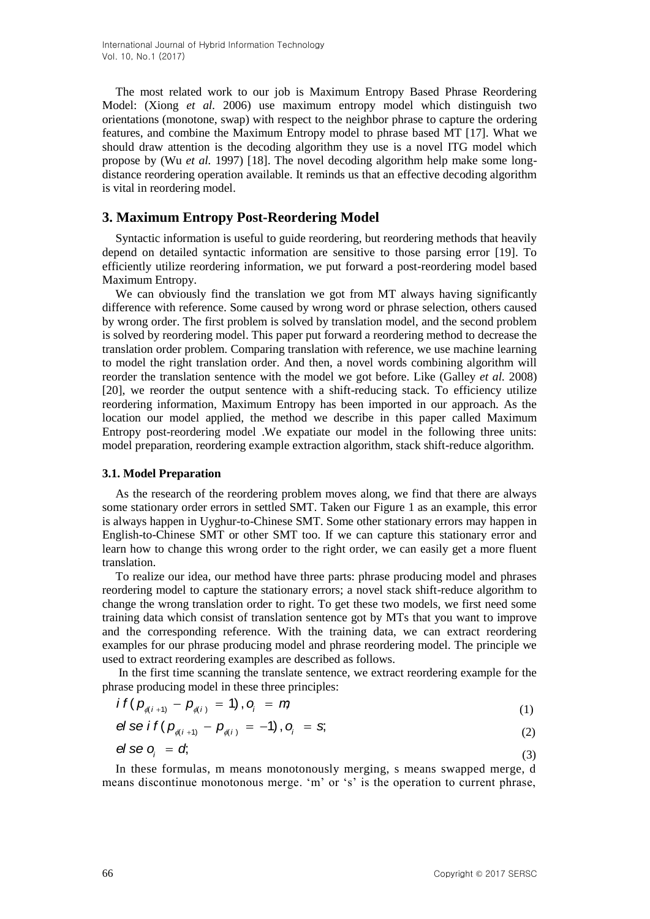The most related work to our job is Maximum Entropy Based Phrase Reordering Model: (Xiong *et al.* 2006) use maximum entropy model which distinguish two orientations (monotone, swap) with respect to the neighbor phrase to capture the ordering features, and combine the Maximum Entropy model to phrase based MT [17]. What we should draw attention is the decoding algorithm they use is a novel ITG model which propose by (Wu *et al.* 1997) [18]. The novel decoding algorithm help make some longdistance reordering operation available. It reminds us that an effective decoding algorithm is vital in reordering model.

# **3. Maximum Entropy Post-Reordering Model**

Syntactic information is useful to guide reordering, but reordering methods that heavily depend on detailed syntactic information are sensitive to those parsing error [19]. To efficiently utilize reordering information, we put forward a post-reordering model based Maximum Entropy.

We can obviously find the translation we got from MT always having significantly difference with reference. Some caused by wrong word or phrase selection, others caused by wrong order. The first problem is solved by translation model, and the second problem is solved by reordering model. This paper put forward a reordering method to decrease the translation order problem. Comparing translation with reference, we use machine learning to model the right translation order. And then, a novel words combining algorithm will reorder the translation sentence with the model we got before. Like (Galley *et al.* 2008) [20], we reorder the output sentence with a shift-reducing stack. To efficiency utilize reordering information, Maximum Entropy has been imported in our approach. As the location our model applied, the method we describe in this paper called Maximum Entropy post-reordering model .We expatiate our model in the following three units: model preparation, reordering example extraction algorithm, stack shift-reduce algorithm.

#### **3.1. Model Preparation**

As the research of the reordering problem moves along, we find that there are always some stationary order errors in settled SMT. Taken our Figure 1 as an example, this error is always happen in Uyghur-to-Chinese SMT. Some other stationary errors may happen in English-to-Chinese SMT or other SMT too. If we can capture this stationary error and learn how to change this wrong order to the right order, we can easily get a more fluent translation.

To realize our idea, our method have three parts: phrase producing model and phrases reordering model to capture the stationary errors; a novel stack shift-reduce algorithm to change the wrong translation order to right. To get these two models, we first need some training data which consist of translation sentence got by MTs that you want to improve and the corresponding reference. With the training data, we can extract reordering examples for our phrase producing model and phrase reordering model. The principle we used to extract reordering examples are described as follows.

In the first time scanning the translate sentence, we extract reordering example for the

phrase producing model in these three principles:  
\n
$$
i \ f\left(p_{\phi(i+1)} - p_{\phi(i)} = 1\right), \ o_i = n \tag{1}
$$

$$
P_{\phi(i+1)} - P_{\phi(i)} = 1, \quad Q_i = H_i
$$
  
of  $\mathbf{p}_{\phi(i+1)} - p_{\phi(i)} = -1$ ,  $\mathbf{p}_i = \mathbf{s}$ , (1)

$$
\Theta \text{se } O_i = \sigma, \tag{3}
$$

In these formulas, m means monotonously merging, s means swapped merge, d means discontinue monotonous merge. 'm' or 's' is the operation to current phrase,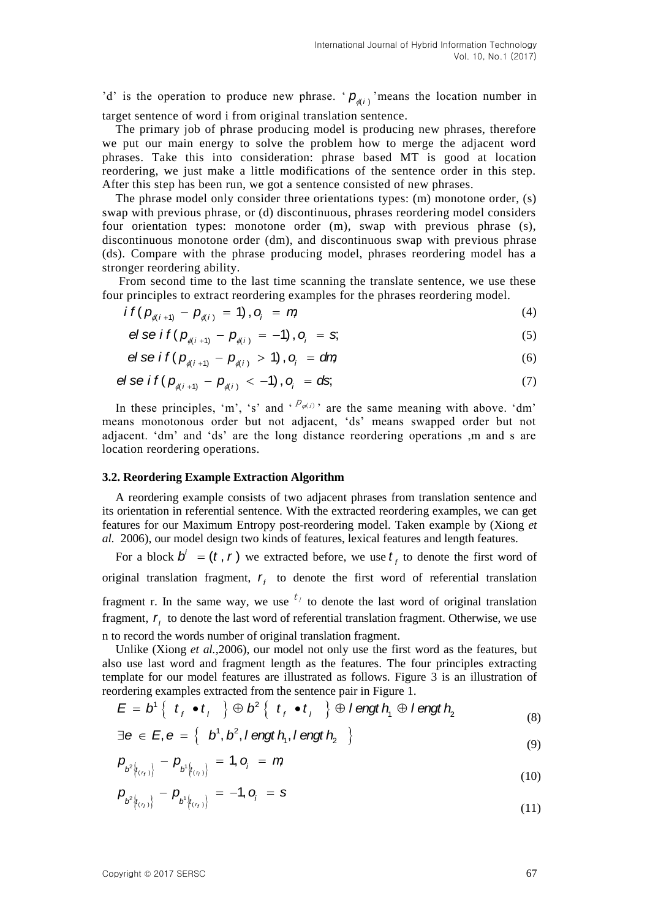'd' is the operation to produce new phrase. ' $p_{\phi(i)}$ ' means the location number in target sentence of word i from original translation sentence.

The primary job of phrase producing model is producing new phrases, therefore we put our main energy to solve the problem how to merge the adjacent word phrases. Take this into consideration: phrase based MT is good at location reordering, we just make a little modifications of the sentence order in this step. After this step has been run, we got a sentence consisted of new phrases.

The phrase model only consider three orientations types: (m) monotone order, (s) swap with previous phrase, or (d) discontinuous, phrases reordering model considers four orientation types: monotone order (m), swap with previous phrase (s), discontinuous monotone order (dm), and discontinuous swap with previous phrase (ds). Compare with the phrase producing model, phrases reordering model has a stronger reordering ability.

From second time to the last time scanning the translate sentence, we use these

four principles to extract reordering examples for the phrases reordering model.  
\n
$$
if (p_{\phi(i+1)} - p_{\phi(i)} = 1), o_i = m
$$
\n(4)

$$
P(\mathcal{P}_{\phi(i+1)} - \mathcal{P}_{\phi(i)} - \mathcal{P}_{\phi(i)} - \mathcal{P}_{\phi(i)} = -1), o_i = s,
$$
\n(4)

$$
e_i \sec i \left( P_{\phi(i+1)} - P_{\phi(i)} \right) = -1, \quad e_i = -3,
$$
\n
$$
e_i \sec i \left( P_{\phi(i+1)} - P_{\phi(i)} \right) > 1, \quad o_i = \text{dm} \tag{6}
$$

$$
e_i \text{ or } i \left( p_{\phi(i+1)} - p_{\phi(i)} > 1 \right), o_i = \text{d}r_i
$$
\n
$$
e_i \text{ or } i \left( p_{\phi(i+1)} - p_{\phi(i)} < -1 \right), o_i = \text{d}s_i \tag{7}
$$

In these principles, 'm', 's' and  $P_{\varphi}(i)$ ' are the same meaning with above. 'dm' means monotonous order but not adjacent, "ds" means swapped order but not adjacent. "dm" and "ds" are the long distance reordering operations ,m and s are location reordering operations.

#### **3.2. Reordering Example Extraction Algorithm**

A reordering example consists of two adjacent phrases from translation sentence and its orientation in referential sentence. With the extracted reordering examples, we can get features for our Maximum Entropy post-reordering model. Taken example by (Xiong *et al.* 2006), our model design two kinds of features, lexical features and length features.

For a block  $b^i = (t, r)$  we extracted before, we use  $t_f$  to denote the first word of original translation fragment, *f r* to denote the first word of referential translation fragment r. In the same way, we use  $t_1$  to denote the last word of original translation fragment,  $r_i$  to denote the last word of referential translation fragment. Otherwise, we use n to record the words number of original translation fragment.

Unlike (Xiong *et al.*,2006), our model not only use the first word as the features, but also use last word and fragment length as the features. The four principles extracting template for our model features are illustrated as follows. Figure 3 is an illustration of reordering examples extracted from the sentence pair in Figure 1.<br>  $E = b^1 \{ t_f \bullet t_j \} \oplus b^2 \{ t_f \bullet t_j \} \oplus l$  engt  $h_i \oplus l$  engt  $h_j$  ( reordering examples extracted from the sentence pair in Figure 1.

$$
E = b1 { tf \bullet tf } \oplus b2 { tf \bullet tf } \oplus I \text{ and } hf \oplus I \text{ and } h2
$$
  
\n
$$
\exists e \in E, e = { b1, b2, I \text{ and } hf, I \text{ and } h2 }
$$
\n(8)

$$
\exists e \in E, e = \left\{ \begin{array}{c} b^1, b^2, l \text{ engt } h_1, l \text{ engt } h_2 \end{array} \right\}
$$
 (9)

$$
P_{b^{2}\left\{t_{(\tau_{f})}\right\}} - P_{b^{1}\left\{t_{(\tau_{j})}\right\}} = 1, o_{j} = m \tag{9}
$$

$$
P_{b^{2}\left(t_{(\tau_{j})}\right)} - P_{b^{1}\left(t_{(\tau_{j})}\right)} = -1, O_{j} = S
$$
\n(10)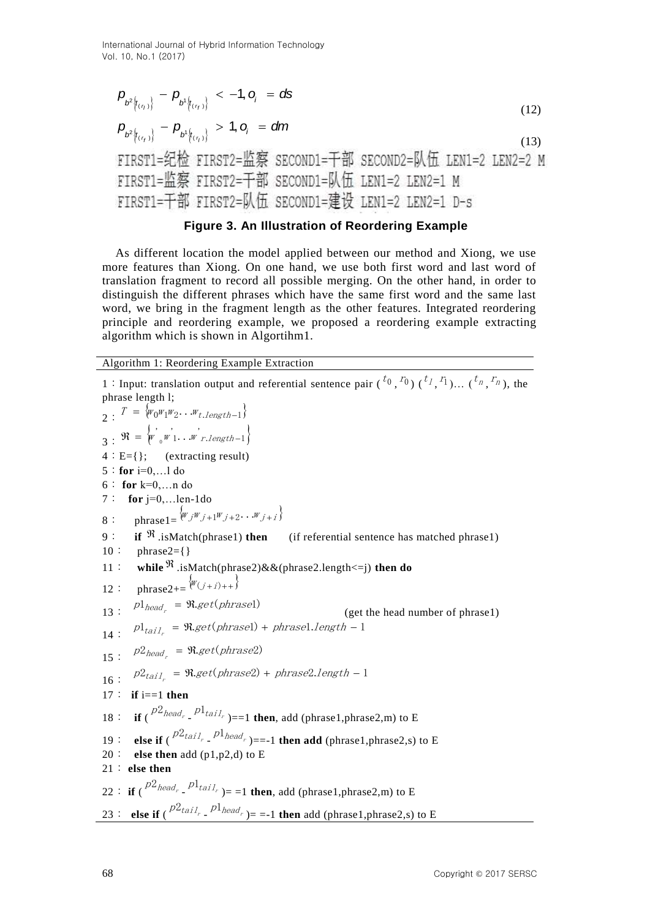$$
P_{b^{2}\left\{t_{(\tau_{1})}\right\}} - P_{b^{1}\left\{t_{(\tau_{1})}\right\}} < -1, o_{i} = ds
$$
\n
$$
P_{b^{2}\left\{t_{(\tau_{1})}\right\}} - P_{b^{1}\left\{t_{(\tau_{1})}\right\}} > 1, o_{i} = dm
$$
\n
$$
\text{FIRST1} = \text{Stim} \text{ERST2} = \text{K} \text{SECOND1} = \text{F} \text{SECOND2} = \text{K} \text{K} \text{ LEM1} = 2 \text{ LEM2} = 2 M
$$
\n
$$
\text{FIRST1} = \text{K} \text{S} \text{FIRST2} = \text{F} \text{SECOND1} = \text{K} \text{K} \text{ LEM1} = 2 \text{ LEM2} = 1 M
$$
\n
$$
P_{b^{2}\left\{t_{(\tau_{1})}\right\}} \text{SECOND1} = \text{K} \text{K} \text{ LEM1} = 2 \text{ LEM2} = 1 M
$$
\n
$$
P_{b^{2}\left\{t_{(\tau_{2})}\right\}} \text{SECOND1} = \text{K} \text{K} \text{ LEM1} = 2 \text{ LEM2} = 1 M
$$
\n
$$
P_{b^{2}\left\{t_{(\tau_{1})}\right\}} \text{SECOND1} = \text{K} \text{K} \text{ LEM1} = 2 \text{ LEM2} = 1 M
$$
\n
$$
P_{b^{2}\left\{t_{(\tau_{2})}\right\}} \text{SECOND2} = \text{K} \text{K} \text{ LEM2} = 2 M
$$
\n
$$
P_{b^{2}\left\{t_{(\tau_{1})}\right\}} \text{SECOND2} = \text{K} \text{K} \text{ LEM2} = 2 M
$$
\n
$$
P_{b^{2}\left\{t_{(\tau_{2})}\right\}} \text{SECOND1} = \text{K} \text{K} \text{ LEM1} = 2 \text{ LEM2} = 1 M
$$
\n
$$
P_{b^{2}\left\{t_{(\tau_{1})}\right\}} \text{SECOND2} = \text{K} \text{K} \text{ LEM2} = 2 M
$$

# **Figure 3. An Illustration of Reordering Example**

As different location the model applied between our method and Xiong, we use more features than Xiong. On one hand, we use both first word and last word of translation fragment to record all possible merging. On the other hand, in order to distinguish the different phrases which have the same first word and the same last word, we bring in the fragment length as the other features. Integrated reordering principle and reordering example, we proposed a reordering example extracting algorithm which is shown in Algortihm1.

Algorithm 1: Reordering Example Extraction

<sup>6</sup> Anal <sup>2</sup> Revis <br>  $P_{\vec{k}/\vec{k}_{\text{eff}}}$  <sup>2</sup> Revis <br>  $P_{\vec{k}/\vec{k}_{\text{eff}}}$   $Q_{\vec{k}/\vec{k}_{\text{eff}}}$   $Q_{\vec{k}/\vec{k}_{\text{eff}}}$   $Q_{\vec{k}/\vec{k}_{\text{eff}}}$   $Q_{\vec{k}/\vec{k}_{\text{eff}}}$   $Q_{\vec{k}/\vec{k}_{\text{eff}}}$   $Q_{\vec{k}/\vec{k}_{\text{eff}}}$   $Q_{\vec{k}/\vec{k}_{\text{eff}}}$   $Q_{\vec{k}/\vec{k}_{\text{eff}}}$   $Q_{\vec{k}/\$ 1: Input: translation output and referential sentence pair  $({}^{t_0}, {}^{t_0})$   $({}^{t_1}, {}^{t_1})...$   $({}^{t_n}, {}^{t_n})$ , the phrase length l; 2 :  $T = \{w_0w_1w_2...w_{t.length-1}\}$  $3: \Re = \begin{cases} w' & \text{if } \\ w' & \text{if } \\ w' & \text{if } \\ w' & \text{if } \\ w' & \text{if } \\ w' & \text{if } \\ w' & \text{if } \\ w' & \text{if } \\ w' & \text{if } \\ w' & \text{if } \\ w' & \text{if } \\ w' & \text{if } \\ w' & \text{if } \\ w' & \text{if } \\ w' & \text{if } \\ w' & \text{if } \\ w' & \text{if } \\ w' & \text{if } \\ w' & \text{if } \\ w' & \text{if } \\ w' & \text{if } \\ w' & \text{if } \\ w' & \text{if } \\ w' &$  $4: E=\{$  : (extracting result) 5:**for** i=0,…l do 6: **for** k=0,…n do 7: **for** j=0,…len-1do 8 : phrase  $1 = \{w_j w_{j+1} w_{j+2} \dots w_{j+j}\}$ 9: **if**  $\mathfrak{R}$ .isMatch(phrase1) **then** (if referential sentence has matched phrase1)  $10:$  phrase2={} 11 : while <sup> $\Re$ </sup> .isMatch(phrase2)&&(phrase2.length<=j) **then do** 12 : phrase2+= $\{w_{(j+i)+1}\}\}$ 13 :  $p1_{head_r} = \Re.get(phrase1)$  (get the head number of phrase1)  $14:$   $pl_{tail_r} = \Re.get(phrase1) + phrase1.length - 1$ 15 :  $p2_{head_r} = \Re.get(phrase2)$  $16: p2_{tail_r} = \Re.get(phrase2) + phrase2.length - 1$ 17: **if** i==1 **then** 18 : **if**  $\binom{p2_{head_r}}{p1_{tail_r}}$  ==1 **then**, add (phrase1,phrase2,m) to E 19: **else if**  $\left( \frac{p2_{tail}}{r} - \frac{p1_{head}}{r} \right) = -1$  then add (phrase1,phrase2,s) to E 20: **else then** add (p1,p2,d) to E 21: **else then**  22: **if**  $\binom{p2_{head_r}}{p1_{tail_r}}$  = =1 **then**, add (phrase1,phrase2,m) to E 23: **else if**  $\left( \frac{p2_{tail}}{p} \right) = -1$  **then** add (phrase1,phrase2,s) to E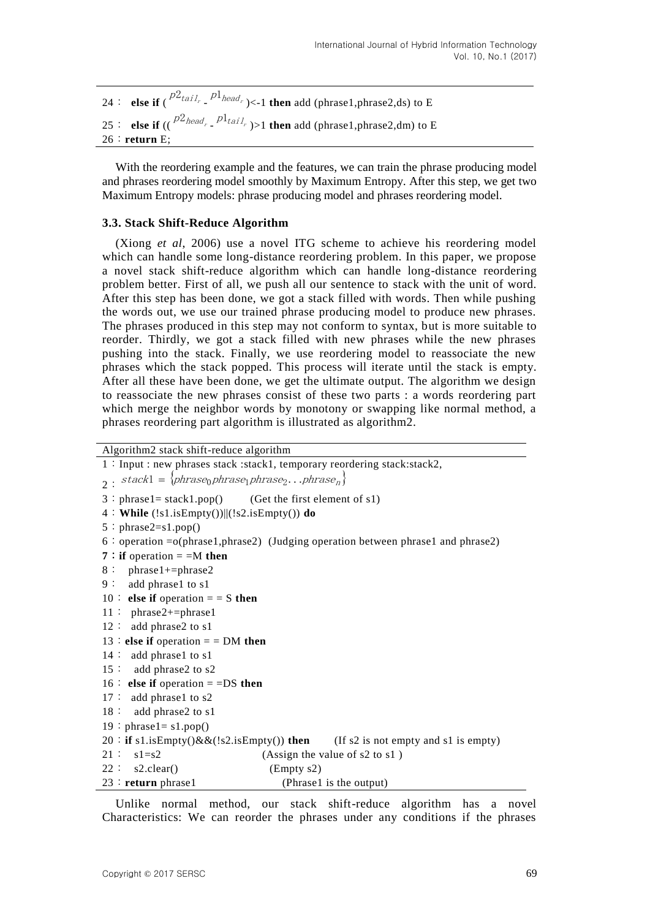```
24: else if (\int_{0}^{D_{tail}}, \int_{0}^{D_{lead}}, \leq 1 then add (phrase1,phrase2,ds) to E
25: else if ((\binom{p2_{head_r}}{p1_{tail_r}}) > 1 then add (phrase1,phrase2,dm) to E
26:return E;
```
With the reordering example and the features, we can train the phrase producing model and phrases reordering model smoothly by Maximum Entropy. After this step, we get two Maximum Entropy models: phrase producing model and phrases reordering model.

### **3.3. Stack Shift-Reduce Algorithm**

(Xiong *et al*, 2006) use a novel ITG scheme to achieve his reordering model which can handle some long-distance reordering problem. In this paper, we propose a novel stack shift-reduce algorithm which can handle long-distance reordering problem better. First of all, we push all our sentence to stack with the unit of word. After this step has been done, we got a stack filled with words. Then while pushing the words out, we use our trained phrase producing model to produce new phrases. The phrases produced in this step may not conform to syntax, but is more suitable to reorder. Thirdly, we got a stack filled with new phrases while the new phrases pushing into the stack. Finally, we use reordering model to reassociate the new phrases which the stack popped. This process will iterate until the stack is empty. After all these have been done, we get the ultimate output. The algorithm we design to reassociate the new phrases consist of these two parts : a words reordering part which merge the neighbor words by monotony or swapping like normal method, a phrases reordering part algorithm is illustrated as algorithm2.

```
Algorithm2 stack shift-reduce algorithm
```

```
1:Input : new phrases stack :stack1, temporary reordering stack:stack2,
_2: stack1 = {phrase<sub>0</sub>phrase<sub>1</sub>phrase<sub>2</sub>...phrase<sub>n</sub>}
3:phrase1 = stack1.pop() (Get the first element of s1)
4:While (!s1.isEmpty())||(!s2.isEmpty()) do
5:phrase2=s1.pop()6: operation =o(\text{phrase1}, \text{phrase2}) (Judging operation between phrase1 and phrase2)
7: if operation = =M then
8: phrase1+=phrase2
9: add phrase1 to s1
10 \colon else if operation = \colon S then
11: phrase2+=phrase1
12: add phrase2 to s1
13 \div else if operation = \div DM then
14: add phrase1 to s1
15: add phrase2 to s2
16: else if operation = =DS then
17: add phrase1 to s2
18: add phrase2 to s1
19:phrase1 = s1.pop()20:if s1.isEmpty()&&(!s2.isEmpty()) then (If s2 is not empty and s1 is empty)
21: \text{ s1=s2} (Assign the value of s2 to s1)
22: \text{ s2.clear}() (Empty s2)
23:return phrase1 (Phrase1 is the output)
```
Unlike normal method, our stack shift-reduce algorithm has a novel Characteristics: We can reorder the phrases under any conditions if the phrases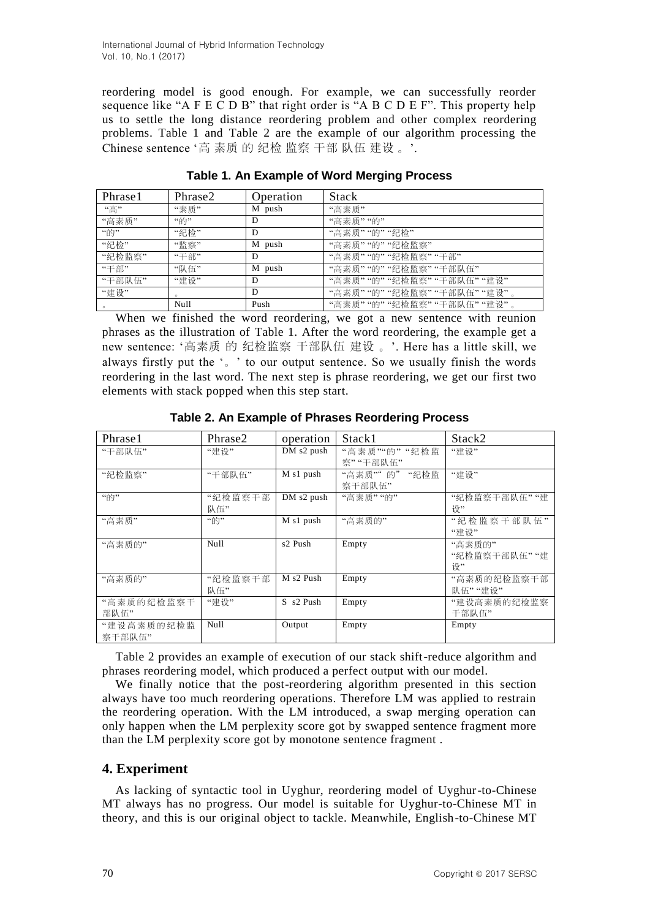reordering model is good enough. For example, we can successfully reorder sequence like "A F E C D B" that right order is "A B C D E F". This property help us to settle the long distance reordering problem and other complex reordering problems. Table 1 and Table 2 are the example of our algorithm processing the Chinese sentence '高 素质 的 纪检 监察 干部 队伍 建设 。'.

| Phrase1 | Phrase2 | Operation | <b>Stack</b>              |
|---------|---------|-----------|---------------------------|
| "高"     | "素质"    | M push    | "高素质"                     |
| "高素质"   | "的"     | D         | "高素质""的"                  |
| "的"     | "纪检"    | D         | "高素质""的""纪检"              |
| "纪检"    | "监察"    | M push    | "高素质""的""纪检监察"            |
| "纪检监察"  | "干部"    | D         | "高素质""的""纪检监察""干部"        |
| "干部"    | "队伍"    | M push    | "高素质""的""纪检监察""干部队伍"      |
| "干部队伍"  | "建设"    | D         | "高素质""的""纪检监察""干部队伍""建设"  |
| "建设"    | $\circ$ | D         | "高素质""的""纪检监察""干部队伍""建设"。 |
|         | Null    | Push      | "高素质""的""纪检监察""干部队伍""建设"  |

**Table 1. An Example of Word Merging Process**

When we finished the word reordering, we got a new sentence with reunion phrases as the illustration of Table 1. After the word reordering, the example get a new sentence: "高素质 的 纪检监察 干部队伍 建设 。". Here has a little skill, we always firstly put the "。" to our output sentence. So we usually finish the words reordering in the last word. The next step is phrase reordering, we get our first two elements with stack popped when this step start.

| Phrase1    | Phrase2 | operation           | Stack1       | Stack2        |
|------------|---------|---------------------|--------------|---------------|
| "干部队伍"     | "建设"    | DM s2 push          | "高素质""的""纪检监 | "建设"          |
|            |         |                     | 察""干部队伍"     |               |
| "纪检监察"     | "干部队伍"  | M s1 push           | "高素质""的""纪检监 | "建设"          |
|            |         |                     | 察干部队伍"       |               |
| "的"        | "纪检监察干部 | DM s2 push          | "高素质""的"     | "纪检监察干部队伍" "建 |
|            | 队伍"     |                     |              | 设"            |
| "高素质"      | "的"     | M s1 push           | "高素质的"       | "纪检监察干部队伍"    |
|            |         |                     |              | "建设"          |
| "高素质的"     | Null    | s2 Push             | Empty        | "高素质的"        |
|            |         |                     |              | "纪检监察干部队伍""建  |
|            |         |                     |              | 设"            |
| "高素质的"     | "纪检监察干部 | M s2 Push           | Empty        | "高素质的纪检监察干部   |
|            | 队伍"     |                     |              | 队伍" "建设"      |
| "高素质的纪检监察干 | "建设"    | $S_{\rm s}$ s2 Push | Empty        | "建设高素质的纪检监察   |
| 部队伍"       |         |                     |              | 干部队伍"         |
| "建设高素质的纪检监 | Null    | Output              | Empty        | Empty         |
| 察干部队伍"     |         |                     |              |               |

**Table 2. An Example of Phrases Reordering Process**

Table 2 provides an example of execution of our stack shift-reduce algorithm and phrases reordering model, which produced a perfect output with our model.

We finally notice that the post-reordering algorithm presented in this section always have too much reordering operations. Therefore LM was applied to restrain the reordering operation. With the LM introduced, a swap merging operation can only happen when the LM perplexity score got by swapped sentence fragment more than the LM perplexity score got by monotone sentence fragment .

# **4. Experiment**

As lacking of syntactic tool in Uyghur, reordering model of Uyghur-to-Chinese MT always has no progress. Our model is suitable for Uyghur-to-Chinese MT in theory, and this is our original object to tackle. Meanwhile, English-to-Chinese MT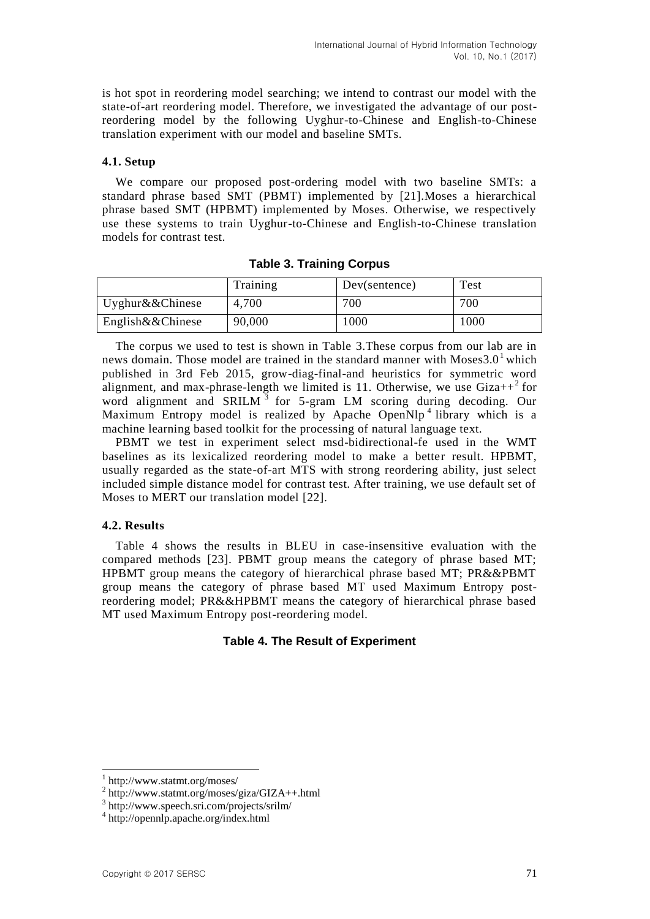is hot spot in reordering model searching; we intend to contrast our model with the state-of-art reordering model. Therefore, we investigated the advantage of our postreordering model by the following Uyghur-to-Chinese and English-to-Chinese translation experiment with our model and baseline SMTs.

#### **4.1. Setup**

We compare our proposed post-ordering model with two baseline SMTs: a standard phrase based SMT (PBMT) implemented by [21].Moses a hierarchical phrase based SMT (HPBMT) implemented by Moses. Otherwise, we respectively use these systems to train Uyghur-to-Chinese and English-to-Chinese translation models for contrast test.

|                     | Training | Dev(sentence) | Test |
|---------------------|----------|---------------|------|
| Uyghur $&&$ Chinese | 4,700    | 700           | 700  |
| English&&Chinese    | 90,000   | 1000          | 1000 |

The corpus we used to test is shown in Table 3.These corpus from our lab are in news domain. Those model are trained in the standard manner with Moses  $3.0<sup>1</sup>$  which published in 3rd Feb 2015, grow-diag-final-and heuristics for symmetric word alignment, and max-phrase-length we limited is 11. Otherwise, we use  $\text{Giza++}^2$  for word alignment and SRILM  $3$  for 5-gram LM scoring during decoding. Our Maximum Entropy model is realized by Apache OpenNlp<sup>4</sup> library which is a machine learning based toolkit for the processing of natural language text.

PBMT we test in experiment select msd-bidirectional-fe used in the WMT baselines as its lexicalized reordering model to make a better result. HPBMT, usually regarded as the state-of-art MTS with strong reordering ability, just select included simple distance model for contrast test. After training, we use default set of Moses to MERT our translation model [22].

# **4.2. Results**

Table 4 shows the results in BLEU in case-insensitive evaluation with the compared methods [23]. PBMT group means the category of phrase based MT; HPBMT group means the category of hierarchical phrase based MT; PR&&PBMT group means the category of phrase based MT used Maximum Entropy postreordering model; PR&&HPBMT means the category of hierarchical phrase based MT used Maximum Entropy post-reordering model.

#### **Table 4. The Result of Experiment**

l

<sup>1</sup> http://www.statmt.org/moses/

<sup>2</sup> http://www.statmt.org/moses/giza/GIZA++.html

<sup>3</sup> http://www.speech.sri.com/projects/srilm/

<sup>4</sup> <http://opennlp.apache.org/index.html>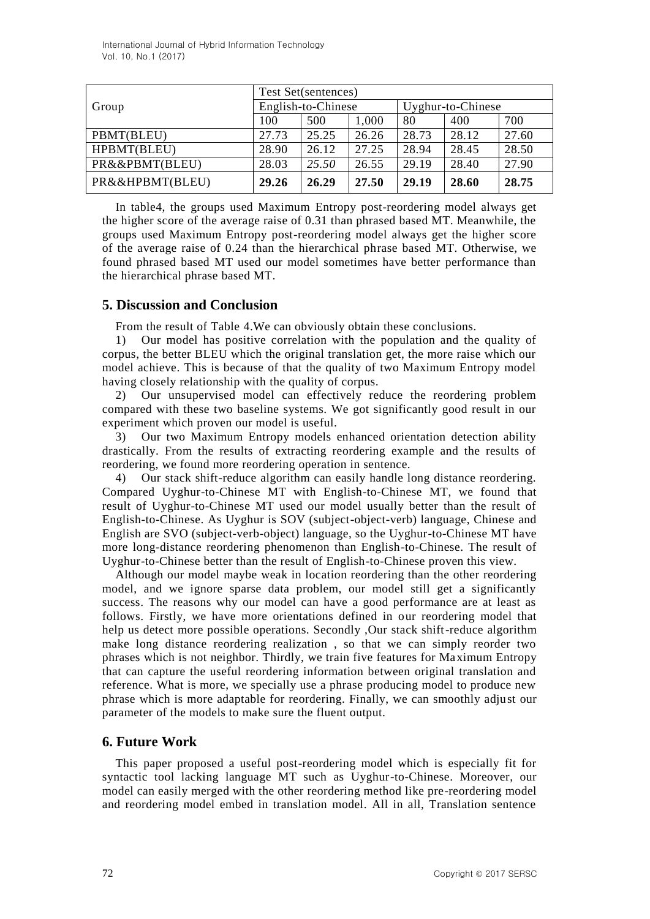International Journal of Hybrid Information Technology Vol. 10, No.1 (2017)

|                 | Test Set(sentences) |       |       |                   |       |       |
|-----------------|---------------------|-------|-------|-------------------|-------|-------|
| Group           | English-to-Chinese  |       |       | Uyghur-to-Chinese |       |       |
|                 | 100                 | 500   | 1,000 | 80                | 400   | 700   |
| PBMT(BLEU)      | 27.73               | 25.25 | 26.26 | 28.73             | 28.12 | 27.60 |
| HPBMT(BLEU)     | 28.90               | 26.12 | 27.25 | 28.94             | 28.45 | 28.50 |
| PR&&PBMT(BLEU)  | 28.03               | 25.50 | 26.55 | 29.19             | 28.40 | 27.90 |
| PR&&HPBMT(BLEU) | 29.26               | 26.29 | 27.50 | 29.19             | 28.60 | 28.75 |

In table4, the groups used Maximum Entropy post-reordering model always get the higher score of the average raise of 0.31 than phrased based MT. Meanwhile, the groups used Maximum Entropy post-reordering model always get the higher score of the average raise of 0.24 than the hierarchical phrase based MT. Otherwise, we found phrased based MT used our model sometimes have better performance than the hierarchical phrase based MT.

## **5. Discussion and Conclusion**

From the result of Table 4.We can obviously obtain these conclusions.

1) Our model has positive correlation with the population and the quality of corpus, the better BLEU which the original translation get, the more raise which our model achieve. This is because of that the quality of two Maximum Entropy model having closely relationship with the quality of corpus.

2) Our unsupervised model can effectively reduce the reordering problem compared with these two baseline systems. We got significantly good result in our experiment which proven our model is useful.

3) Our two Maximum Entropy models enhanced orientation detection ability drastically. From the results of extracting reordering example and the results of reordering, we found more reordering operation in sentence.

4) Our stack shift-reduce algorithm can easily handle long distance reordering. Compared Uyghur-to-Chinese MT with English-to-Chinese MT, we found that result of Uyghur-to-Chinese MT used our model usually better than the result of English-to-Chinese. As Uyghur is SOV (subject-object-verb) language, Chinese and English are SVO (subject-verb-object) language, so the Uyghur-to-Chinese MT have more long-distance reordering phenomenon than English-to-Chinese. The result of Uyghur-to-Chinese better than the result of English-to-Chinese proven this view.

Although our model maybe weak in location reordering than the other reordering model, and we ignore sparse data problem, our model still get a significantly success. The reasons why our model can have a good performance are at least as follows. Firstly, we have more orientations defined in our reordering model that help us detect more possible operations. Secondly ,Our stack shift-reduce algorithm make long distance reordering realization , so that we can simply reorder two phrases which is not neighbor. Thirdly, we train five features for Maximum Entropy that can capture the useful reordering information between original translation and reference. What is more, we specially use a phrase producing model to produce new phrase which is more adaptable for reordering. Finally, we can smoothly adjust our parameter of the models to make sure the fluent output.

# **6. Future Work**

This paper proposed a useful post-reordering model which is especially fit for syntactic tool lacking language MT such as Uyghur-to-Chinese. Moreover, our model can easily merged with the other reordering method like pre-reordering model and reordering model embed in translation model. All in all, Translation sentence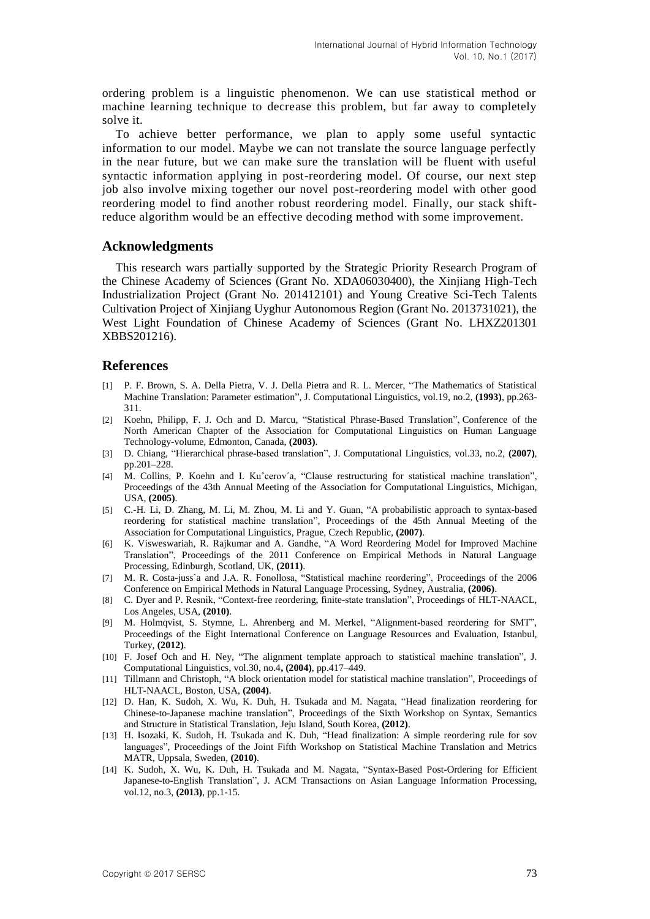ordering problem is a linguistic phenomenon. We can use statistical method or machine learning technique to decrease this problem, but far away to completely solve it.

To achieve better performance, we plan to apply some useful syntactic information to our model. Maybe we can not translate the source language perfectly in the near future, but we can make sure the translation will be fluent with useful syntactic information applying in post-reordering model. Of course, our next step job also involve mixing together our novel post-reordering model with other good reordering model to find another robust reordering model. Finally, our stack shiftreduce algorithm would be an effective decoding method with some improvement.

#### **Acknowledgments**

This research wars partially supported by the Strategic Priority Research Program of the Chinese Academy of Sciences (Grant No. XDA06030400), the Xinjiang High-Tech Industrialization Project (Grant No. 201412101) and Young Creative Sci-Tech Talents Cultivation Project of Xinjiang Uyghur Autonomous Region (Grant No. 2013731021), the West Light Foundation of Chinese Academy of Sciences (Grant No. LHXZ201301 XBBS201216).

#### **References**

- [1] P. F. Brown, S. A. Della Pietra, V. J. Della Pietra and R. L. Mercer, "The Mathematics of Statistical Machine Translation: Parameter estimation", J. Computational Linguistics, vol.19, no.2, **(1993)**, pp.263- 311.
- [2] Koehn, Philipp, F. J. Och and D. Marcu, "Statistical Phrase-Based Translation", Conference of the North American Chapter of the Association for Computational Linguistics on Human Language Technology-volume, Edmonton, Canada, **(2003)**.
- [3] D. Chiang, "Hierarchical phrase-based translation", J. Computational Linguistics, vol.33, no.2, **(2007)**, pp.201–228.
- [4] M. Collins, P. Koehn and I. Kuˆcerov´a, "Clause restructuring for statistical machine translation", Proceedings of the 43th Annual Meeting of the Association for Computational Linguistics, Michigan, USA, **(2005)**.
- [5] C.-H. Li, D. Zhang, M. Li, M. Zhou, M. Li and Y. Guan, "A probabilistic approach to syntax-based reordering for statistical machine translation", Proceedings of the 45th Annual Meeting of the Association for Computational Linguistics, Prague, Czech Republic, **(2007)**.
- [6] K. Visweswariah, R. Rajkumar and A. Gandhe, "A Word Reordering Model for Improved Machine Translation", Proceedings of the 2011 Conference on Empirical Methods in Natural Language Processing, Edinburgh, Scotland, UK, **(2011)**.
- [7] M. R. Costa-juss`a and J.A. R. Fonollosa, "Statistical machine reordering", Proceedings of the 2006 Conference on Empirical Methods in Natural Language Processing, Sydney, Australia, **(2006)**.
- [8] C. Dyer and P. Resnik, "Context-free reordering, finite-state translation", Proceedings of HLT-NAACL, Los Angeles, USA, **(2010)**.
- [9] M. Holmqvist, S. Stymne, L. Ahrenberg and M. Merkel, "Alignment-based reordering for SMT", Proceedings of the Eight International Conference on Language Resources and Evaluation, Istanbul, Turkey, **(2012)**.
- [10] F. Josef Och and H. Ney, "The alignment template approach to statistical machine translation", J. Computational Linguistics, vol.30, no.4**, (2004)**, pp.417–449.
- [11] Tillmann and Christoph, "A block orientation model for statistical machine translation", Proceedings of HLT-NAACL, Boston, USA, **(2004)**.
- [12] D. Han, K. Sudoh, X. Wu, K. Duh, H. Tsukada and M. Nagata, "Head finalization reordering for Chinese-to-Japanese machine translation", Proceedings of the Sixth Workshop on Syntax, Semantics and Structure in Statistical Translation, Jeju Island, South Korea, **(2012)**.
- [13] H. Isozaki, K. Sudoh, H. Tsukada and K. Duh, "Head finalization: A simple reordering rule for sov languages", Proceedings of the Joint Fifth Workshop on Statistical Machine Translation and Metrics MATR, Uppsala, Sweden, **(2010)**.
- [14] K. Sudoh, X. Wu, K. Duh, H. Tsukada and M. Nagata, "Syntax-Based Post-Ordering for Efficient Japanese-to-English Translation", J. ACM Transactions on Asian Language Information Processing, vol.12, no.3, **(2013)**, pp.1-15.